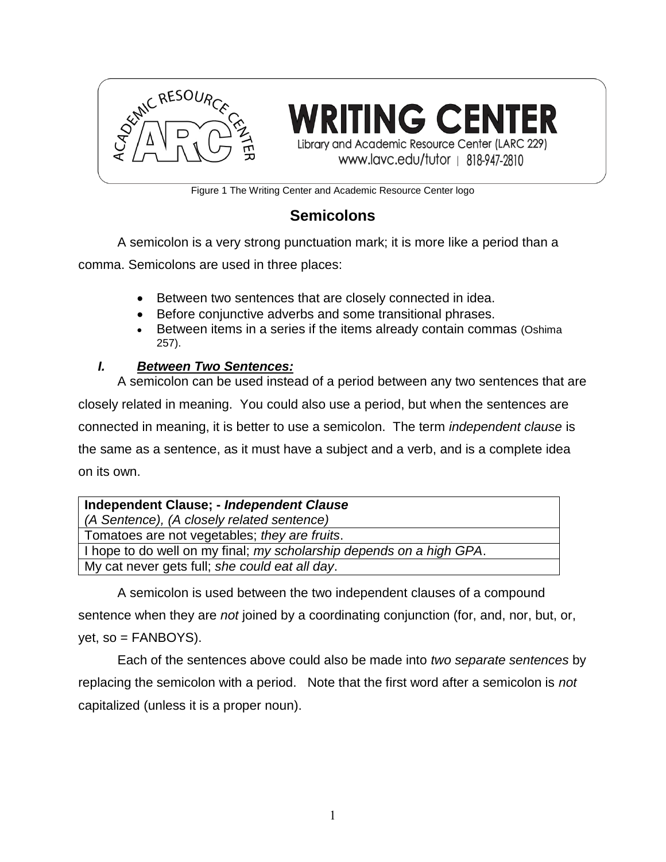

**WRITING CENTER** Library and Academic Resource Center (LARC 229) www.lavc.edu/tutor | 818-947-2810

Figure 1 The Writing Center and Academic Resource Center logo

## **Semicolons**

A semicolon is a very strong punctuation mark; it is more like a period than a

comma. Semicolons are used in three places:

- Between two sentences that are closely connected in idea.
- Before conjunctive adverbs and some transitional phrases.
- Between items in a series if the items already contain commas (Oshima 257).

### *I. Between Two Sentences:*

A semicolon can be used instead of a period between any two sentences that are closely related in meaning. You could also use a period, but when the sentences are connected in meaning, it is better to use a semicolon. The term *independent clause* is the same as a sentence, as it must have a subject and a verb, and is a complete idea on its own.

| Independent Clause; - Independent Clause                             |
|----------------------------------------------------------------------|
| (A Sentence), (A closely related sentence)                           |
| Tomatoes are not vegetables; they are fruits.                        |
| I hope to do well on my final; my scholarship depends on a high GPA. |
| My cat never gets full; she could eat all day.                       |

A semicolon is used between the two independent clauses of a compound sentence when they are *not* joined by a coordinating conjunction (for, and, nor, but, or,  $yet$ , so = FANBOYS).

Each of the sentences above could also be made into *two separate sentences* by replacing the semicolon with a period. Note that the first word after a semicolon is *not* capitalized (unless it is a proper noun).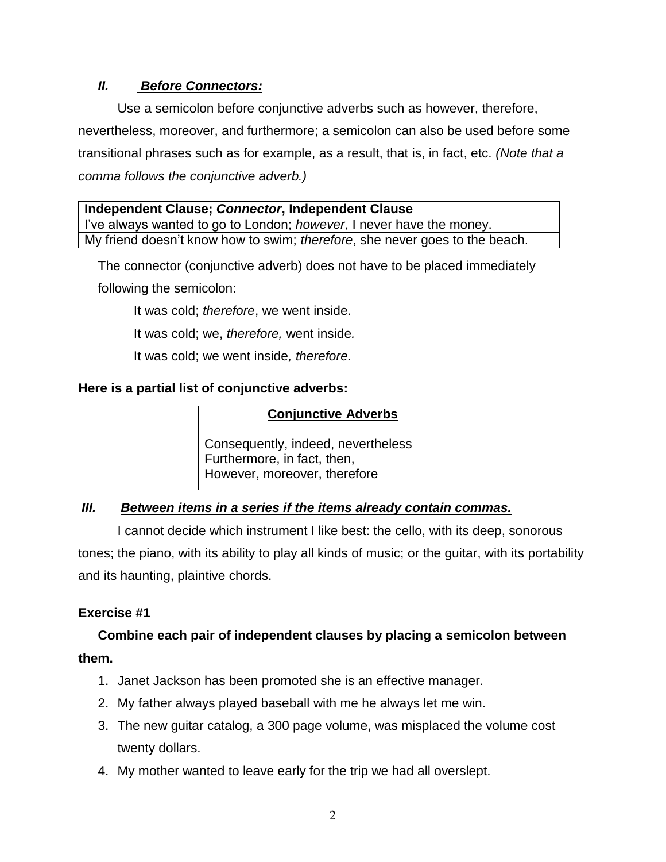### *II. Before Connectors:*

Use a semicolon before conjunctive adverbs such as however, therefore, nevertheless, moreover, and furthermore; a semicolon can also be used before some transitional phrases such as for example, as a result, that is, in fact, etc. *(Note that a comma follows the conjunctive adverb.)*

| Independent Clause; Connector, Independent Clause                            |
|------------------------------------------------------------------------------|
| I've always wanted to go to London; <i>however</i> , I never have the money. |
| My friend doesn't know how to swim; therefore, she never goes to the beach.  |

The connector (conjunctive adverb) does not have to be placed immediately

following the semicolon:

It was cold; *therefore*, we went inside*.*

It was cold; we, *therefore,* went inside*.*

It was cold; we went inside*, therefore.*

### **Here is a partial list of conjunctive adverbs:**

### **Conjunctive Adverbs**

Consequently, indeed, nevertheless Furthermore, in fact, then, However, moreover, therefore

### *III. Between items in a series if the items already contain commas.*

I cannot decide which instrument I like best: the cello, with its deep, sonorous tones; the piano, with its ability to play all kinds of music; or the guitar, with its portability and its haunting, plaintive chords.

### **Exercise #1**

# **Combine each pair of independent clauses by placing a semicolon between them.**

- 1. Janet Jackson has been promoted she is an effective manager.
- 2. My father always played baseball with me he always let me win.
- 3. The new guitar catalog, a 300 page volume, was misplaced the volume cost twenty dollars.
- 4. My mother wanted to leave early for the trip we had all overslept.